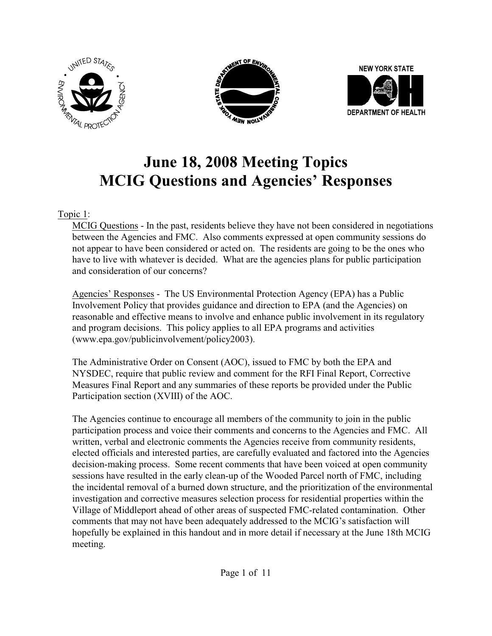





# **June 18, 2008 Meeting Topics MCIG Questions and Agencies' Responses**

#### Topic 1:

MCIG Questions - In the past, residents believe they have not been considered in negotiations between the Agencies and FMC. Also comments expressed at open community sessions do not appear to have been considered or acted on. The residents are going to be the ones who have to live with whatever is decided. What are the agencies plans for public participation and consideration of our concerns?

Agencies' Responses - The US Environmental Protection Agency (EPA) has a Public Involvement Policy that provides guidance and direction to EPA (and the Agencies) on reasonable and effective means to involve and enhance public involvement in its regulatory and program decisions. This policy applies to all EPA programs and activities (www.epa.gov/publicinvolvement/policy2003).

The Administrative Order on Consent (AOC), issued to FMC by both the EPA and NYSDEC, require that public review and comment for the RFI Final Report, Corrective Measures Final Report and any summaries of these reports be provided under the Public Participation section (XVIII) of the AOC.

The Agencies continue to encourage all members of the community to join in the public participation process and voice their comments and concerns to the Agencies and FMC. All written, verbal and electronic comments the Agencies receive from community residents, elected officials and interested parties, are carefully evaluated and factored into the Agencies decision-making process. Some recent comments that have been voiced at open community sessions have resulted in the early clean-up of the Wooded Parcel north of FMC, including the incidental removal of a burned down structure, and the prioritization of the environmental investigation and corrective measures selection process for residential properties within the Village of Middleport ahead of other areas of suspected FMC-related contamination. Other comments that may not have been adequately addressed to the MCIG's satisfaction will hopefully be explained in this handout and in more detail if necessary at the June 18th MCIG meeting.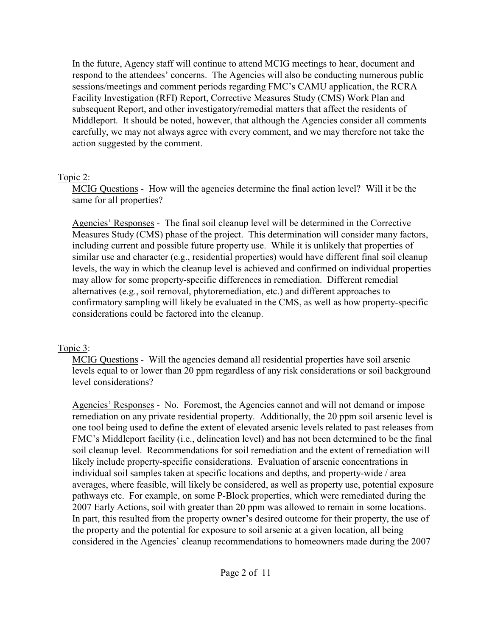In the future, Agency staff will continue to attend MCIG meetings to hear, document and respond to the attendees' concerns. The Agencies will also be conducting numerous public sessions/meetings and comment periods regarding FMC's CAMU application, the RCRA Facility Investigation (RFI) Report, Corrective Measures Study (CMS) Work Plan and subsequent Report, and other investigatory/remedial matters that affect the residents of Middleport. It should be noted, however, that although the Agencies consider all comments carefully, we may not always agree with every comment, and we may therefore not take the action suggested by the comment.

#### Topic 2:

MCIG Questions - How will the agencies determine the final action level? Will it be the same for all properties?

Agencies' Responses - The final soil cleanup level will be determined in the Corrective Measures Study (CMS) phase of the project. This determination will consider many factors, including current and possible future property use. While it is unlikely that properties of similar use and character (e.g., residential properties) would have different final soil cleanup levels, the way in which the cleanup level is achieved and confirmed on individual properties may allow for some property-specific differences in remediation. Different remedial alternatives (e.g., soil removal, phytoremediation, etc.) and different approaches to confirmatory sampling will likely be evaluated in the CMS, as well as how property-specific considerations could be factored into the cleanup.

# Topic 3:

MCIG Questions - Will the agencies demand all residential properties have soil arsenic levels equal to or lower than 20 ppm regardless of any risk considerations or soil background level considerations?

Agencies' Responses - No. Foremost, the Agencies cannot and will not demand or impose remediation on any private residential property. Additionally, the 20 ppm soil arsenic level is one tool being used to define the extent of elevated arsenic levels related to past releases from FMC's Middleport facility (i.e., delineation level) and has not been determined to be the final soil cleanup level. Recommendations for soil remediation and the extent of remediation will likely include property-specific considerations. Evaluation of arsenic concentrations in individual soil samples taken at specific locations and depths, and property-wide / area averages, where feasible, will likely be considered, as well as property use, potential exposure pathways etc. For example, on some P-Block properties, which were remediated during the 2007 Early Actions, soil with greater than 20 ppm was allowed to remain in some locations. In part, this resulted from the property owner's desired outcome for their property, the use of the property and the potential for exposure to soil arsenic at a given location, all being considered in the Agencies' cleanup recommendations to homeowners made during the 2007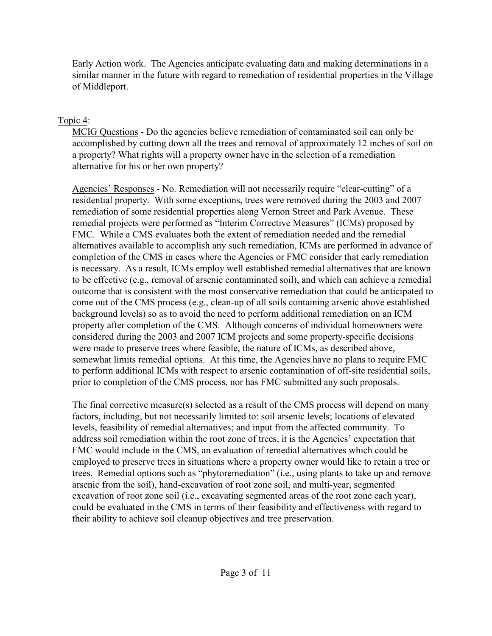Early Action work. The Agencies anticipate evaluating data and making determinations in a similar manner in the future with regard to remediation of residential properties in the Village of Middleport.

#### Topic 4:

MCIG Questions - Do the agencies believe remediation of contaminated soil can only be accomplished by cutting down all the trees and removal of approximately 12 inches of soil on a property? What rights will a property owner have in the selection of a remediation alternative for his or her own property?

Agencies' Responses - No. Remediation will not necessarily require "clear-cutting" of a residential property. With some exceptions, trees were removed during the 2003 and 2007 remediation of some residential properties along Vernon Street and Park Avenue. These remedial projects were performed as "Interim Corrective Measures" (ICMs) proposed by FMC. While a CMS evaluates both the extent of remediation needed and the remedial alternatives available to accomplish any such remediation, ICMs are performed in advance of completion of the CMS in cases where the Agencies or FMC consider that early remediation is necessary. As a result, ICMs employ well established remedial alternatives that are known to be effective (e.g., removal of arsenic contaminated soil), and which can achieve a remedial outcome that is consistent with the most conservative remediation that could be anticipated to come out of the CMS process (e.g., clean-up of all soils containing arsenic above established background levels) so as to avoid the need to perform additional remediation on an ICM property after completion of the CMS. Although concerns of individual homeowners were considered during the 2003 and 2007 ICM projects and some property-specific decisions were made to preserve trees where feasible, the nature of ICMs, as described above, somewhat limits remedial options. At this time, the Agencies have no plans to require FMC to perform additional ICMs with respect to arsenic contamination of off-site residential soils, prior to completion of the CMS process, nor has FMC submitted any such proposals.

The final corrective measure(s) selected as a result of the CMS process will depend on many factors, including, but not necessarily limited to: soil arsenic levels; locations of elevated levels, feasibility of remedial alternatives; and input from the affected community. To address soil remediation within the root zone of trees, it is the Agencies' expectation that FMC would include in the CMS, an evaluation of remedial alternatives which could be employed to preserve trees in situations where a property owner would like to retain a tree or trees. Remedial options such as "phytoremediation" (i.e., using plants to take up and remove arsenic from the soil), hand-excavation of root zone soil, and multi-year, segmented excavation of root zone soil (i.e., excavating segmented areas of the root zone each year), could be evaluated in the CMS in terms of their feasibility and effectiveness with regard to their ability to achieve soil cleanup objectives and tree preservation.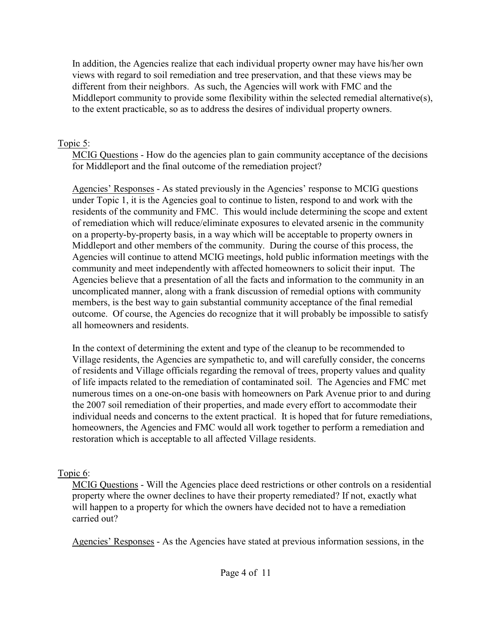In addition, the Agencies realize that each individual property owner may have his/her own views with regard to soil remediation and tree preservation, and that these views may be different from their neighbors. As such, the Agencies will work with FMC and the Middleport community to provide some flexibility within the selected remedial alternative(s), to the extent practicable, so as to address the desires of individual property owners.

#### Topic 5:

MCIG Questions - How do the agencies plan to gain community acceptance of the decisions for Middleport and the final outcome of the remediation project?

Agencies' Responses - As stated previously in the Agencies' response to MCIG questions under Topic 1, it is the Agencies goal to continue to listen, respond to and work with the residents of the community and FMC. This would include determining the scope and extent of remediation which will reduce/eliminate exposures to elevated arsenic in the community on a property-by-property basis, in a way which will be acceptable to property owners in Middleport and other members of the community. During the course of this process, the Agencies will continue to attend MCIG meetings, hold public information meetings with the community and meet independently with affected homeowners to solicit their input. The Agencies believe that a presentation of all the facts and information to the community in an uncomplicated manner, along with a frank discussion of remedial options with community members, is the best way to gain substantial community acceptance of the final remedial outcome. Of course, the Agencies do recognize that it will probably be impossible to satisfy all homeowners and residents.

In the context of determining the extent and type of the cleanup to be recommended to Village residents, the Agencies are sympathetic to, and will carefully consider, the concerns of residents and Village officials regarding the removal of trees, property values and quality of life impacts related to the remediation of contaminated soil. The Agencies and FMC met numerous times on a one-on-one basis with homeowners on Park Avenue prior to and during the 2007 soil remediation of their properties, and made every effort to accommodate their individual needs and concerns to the extent practical. It is hoped that for future remediations, homeowners, the Agencies and FMC would all work together to perform a remediation and restoration which is acceptable to all affected Village residents.

# Topic 6:

MCIG Questions - Will the Agencies place deed restrictions or other controls on a residential property where the owner declines to have their property remediated? If not, exactly what will happen to a property for which the owners have decided not to have a remediation carried out?

Agencies' Responses - As the Agencies have stated at previous information sessions, in the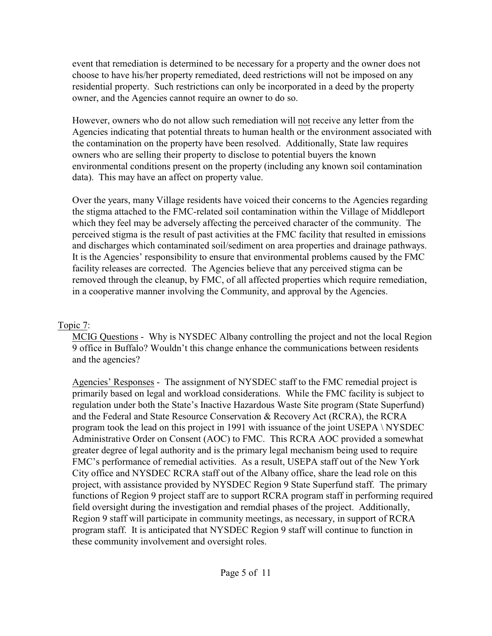event that remediation is determined to be necessary for a property and the owner does not choose to have his/her property remediated, deed restrictions will not be imposed on any residential property. Such restrictions can only be incorporated in a deed by the property owner, and the Agencies cannot require an owner to do so.

However, owners who do not allow such remediation will not receive any letter from the Agencies indicating that potential threats to human health or the environment associated with the contamination on the property have been resolved. Additionally, State law requires owners who are selling their property to disclose to potential buyers the known environmental conditions present on the property (including any known soil contamination data). This may have an affect on property value.

Over the years, many Village residents have voiced their concerns to the Agencies regarding the stigma attached to the FMC-related soil contamination within the Village of Middleport which they feel may be adversely affecting the perceived character of the community. The perceived stigma is the result of past activities at the FMC facility that resulted in emissions and discharges which contaminated soil/sediment on area properties and drainage pathways. It is the Agencies' responsibility to ensure that environmental problems caused by the FMC facility releases are corrected. The Agencies believe that any perceived stigma can be removed through the cleanup, by FMC, of all affected properties which require remediation, in a cooperative manner involving the Community, and approval by the Agencies.

#### Topic 7:

MCIG Questions - Why is NYSDEC Albany controlling the project and not the local Region 9 office in Buffalo? Wouldn't this change enhance the communications between residents and the agencies?

Agencies' Responses - The assignment of NYSDEC staff to the FMC remedial project is primarily based on legal and workload considerations. While the FMC facility is subject to regulation under both the State's Inactive Hazardous Waste Site program (State Superfund) and the Federal and State Resource Conservation & Recovery Act (RCRA), the RCRA program took the lead on this project in 1991 with issuance of the joint USEPA \ NYSDEC Administrative Order on Consent (AOC) to FMC. This RCRA AOC provided a somewhat greater degree of legal authority and is the primary legal mechanism being used to require FMC's performance of remedial activities. As a result, USEPA staff out of the New York City office and NYSDEC RCRA staff out of the Albany office, share the lead role on this project, with assistance provided by NYSDEC Region 9 State Superfund staff. The primary functions of Region 9 project staff are to support RCRA program staff in performing required field oversight during the investigation and remdial phases of the project. Additionally, Region 9 staff will participate in community meetings, as necessary, in support of RCRA program staff. It is anticipated that NYSDEC Region 9 staff will continue to function in these community involvement and oversight roles.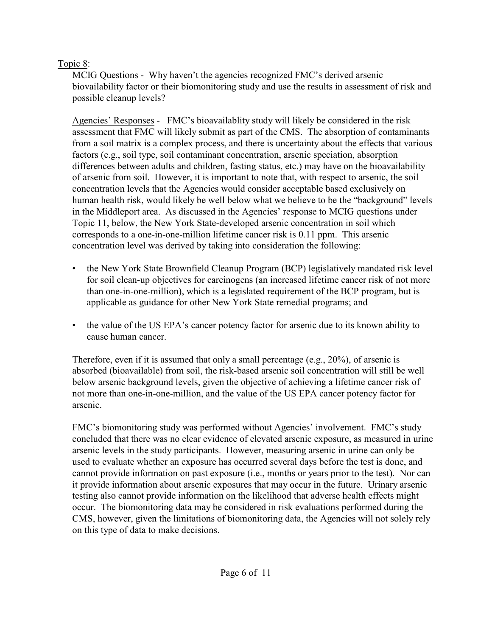### Topic 8:

MCIG Questions - Why haven't the agencies recognized FMC's derived arsenic biovailability factor or their biomonitoring study and use the results in assessment of risk and possible cleanup levels?

Agencies' Responses - FMC's bioavailablity study will likely be considered in the risk assessment that FMC will likely submit as part of the CMS. The absorption of contaminants from a soil matrix is a complex process, and there is uncertainty about the effects that various factors (e.g., soil type, soil contaminant concentration, arsenic speciation, absorption differences between adults and children, fasting status, etc.) may have on the bioavailability of arsenic from soil. However, it is important to note that, with respect to arsenic, the soil concentration levels that the Agencies would consider acceptable based exclusively on human health risk, would likely be well below what we believe to be the "background" levels in the Middleport area. As discussed in the Agencies' response to MCIG questions under Topic 11, below, the New York State-developed arsenic concentration in soil which corresponds to a one-in-one-million lifetime cancer risk is 0.11 ppm. This arsenic concentration level was derived by taking into consideration the following:

- the New York State Brownfield Cleanup Program (BCP) legislatively mandated risk level for soil clean-up objectives for carcinogens (an increased lifetime cancer risk of not more than one-in-one-million), which is a legislated requirement of the BCP program, but is applicable as guidance for other New York State remedial programs; and
- the value of the US EPA's cancer potency factor for arsenic due to its known ability to cause human cancer.

Therefore, even if it is assumed that only a small percentage (e.g.,  $20\%$ ), of arsenic is absorbed (bioavailable) from soil, the risk-based arsenic soil concentration will still be well below arsenic background levels, given the objective of achieving a lifetime cancer risk of not more than one-in-one-million, and the value of the US EPA cancer potency factor for arsenic.

FMC's biomonitoring study was performed without Agencies' involvement. FMC's study concluded that there was no clear evidence of elevated arsenic exposure, as measured in urine arsenic levels in the study participants. However, measuring arsenic in urine can only be used to evaluate whether an exposure has occurred several days before the test is done, and cannot provide information on past exposure (i.e., months or years prior to the test). Nor can it provide information about arsenic exposures that may occur in the future. Urinary arsenic testing also cannot provide information on the likelihood that adverse health effects might occur. The biomonitoring data may be considered in risk evaluations performed during the CMS, however, given the limitations of biomonitoring data, the Agencies will not solely rely on this type of data to make decisions.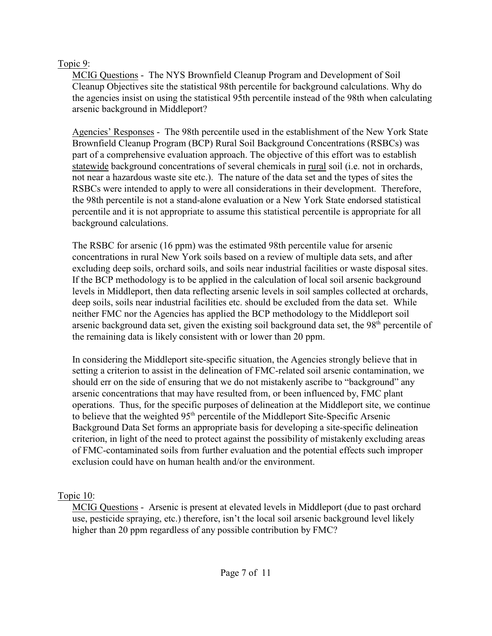#### Topic 9:

MCIG Questions - The NYS Brownfield Cleanup Program and Development of Soil Cleanup Objectives site the statistical 98th percentile for background calculations. Why do the agencies insist on using the statistical 95th percentile instead of the 98th when calculating arsenic background in Middleport?

Agencies' Responses - The 98th percentile used in the establishment of the New York State Brownfield Cleanup Program (BCP) Rural Soil Background Concentrations (RSBCs) was part of a comprehensive evaluation approach. The objective of this effort was to establish statewide background concentrations of several chemicals in rural soil (i.e. not in orchards, not near a hazardous waste site etc.). The nature of the data set and the types of sites the RSBCs were intended to apply to were all considerations in their development. Therefore, the 98th percentile is not a stand-alone evaluation or a New York State endorsed statistical percentile and it is not appropriate to assume this statistical percentile is appropriate for all background calculations.

The RSBC for arsenic (16 ppm) was the estimated 98th percentile value for arsenic concentrations in rural New York soils based on a review of multiple data sets, and after excluding deep soils, orchard soils, and soils near industrial facilities or waste disposal sites. If the BCP methodology is to be applied in the calculation of local soil arsenic background levels in Middleport, then data reflecting arsenic levels in soil samples collected at orchards, deep soils, soils near industrial facilities etc. should be excluded from the data set. While neither FMC nor the Agencies has applied the BCP methodology to the Middleport soil arsenic background data set, given the existing soil background data set, the 98<sup>th</sup> percentile of the remaining data is likely consistent with or lower than 20 ppm.

In considering the Middleport site-specific situation, the Agencies strongly believe that in setting a criterion to assist in the delineation of FMC-related soil arsenic contamination, we should err on the side of ensuring that we do not mistakenly ascribe to "background" any arsenic concentrations that may have resulted from, or been influenced by, FMC plant operations. Thus, for the specific purposes of delineation at the Middleport site, we continue to believe that the weighted  $95<sup>th</sup>$  percentile of the Middleport Site-Specific Arsenic Background Data Set forms an appropriate basis for developing a site-specific delineation criterion, in light of the need to protect against the possibility of mistakenly excluding areas of FMC-contaminated soils from further evaluation and the potential effects such improper exclusion could have on human health and/or the environment.

#### Topic 10:

MCIG Questions - Arsenic is present at elevated levels in Middleport (due to past orchard use, pesticide spraying, etc.) therefore, isn't the local soil arsenic background level likely higher than 20 ppm regardless of any possible contribution by FMC?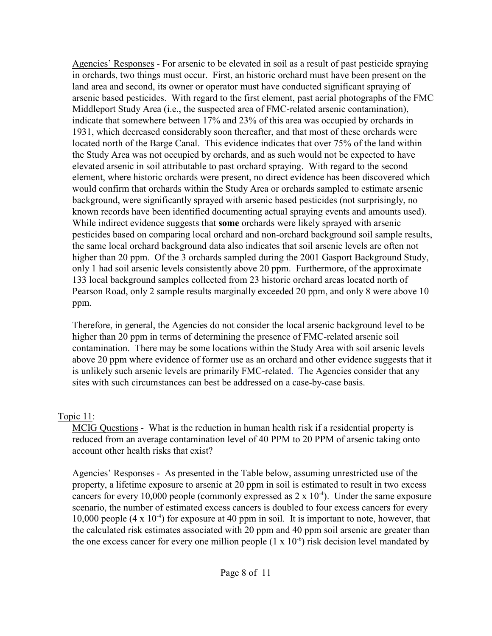Agencies' Responses - For arsenic to be elevated in soil as a result of past pesticide spraying in orchards, two things must occur. First, an historic orchard must have been present on the land area and second, its owner or operator must have conducted significant spraying of arsenic based pesticides. With regard to the first element, past aerial photographs of the FMC Middleport Study Area (i.e., the suspected area of FMC-related arsenic contamination), indicate that somewhere between 17% and 23% of this area was occupied by orchards in 1931, which decreased considerably soon thereafter, and that most of these orchards were located north of the Barge Canal. This evidence indicates that over 75% of the land within the Study Area was not occupied by orchards, and as such would not be expected to have elevated arsenic in soil attributable to past orchard spraying. With regard to the second element, where historic orchards were present, no direct evidence has been discovered which would confirm that orchards within the Study Area or orchards sampled to estimate arsenic background, were significantly sprayed with arsenic based pesticides (not surprisingly, no known records have been identified documenting actual spraying events and amounts used). While indirect evidence suggests that **some** orchards were likely sprayed with arsenic pesticides based on comparing local orchard and non-orchard background soil sample results, the same local orchard background data also indicates that soil arsenic levels are often not higher than 20 ppm. Of the 3 orchards sampled during the 2001 Gasport Background Study, only 1 had soil arsenic levels consistently above 20 ppm. Furthermore, of the approximate 133 local background samples collected from 23 historic orchard areas located north of Pearson Road, only 2 sample results marginally exceeded 20 ppm, and only 8 were above 10 ppm.

Therefore, in general, the Agencies do not consider the local arsenic background level to be higher than 20 ppm in terms of determining the presence of FMC-related arsenic soil contamination. There may be some locations within the Study Area with soil arsenic levels above 20 ppm where evidence of former use as an orchard and other evidence suggests that it is unlikely such arsenic levels are primarily FMC-related. The Agencies consider that any sites with such circumstances can best be addressed on a case-by-case basis.

#### Topic 11:

MCIG Questions - What is the reduction in human health risk if a residential property is reduced from an average contamination level of 40 PPM to 20 PPM of arsenic taking onto account other health risks that exist?

Agencies' Responses - As presented in the Table below, assuming unrestricted use of the property, a lifetime exposure to arsenic at 20 ppm in soil is estimated to result in two excess cancers for every 10,000 people (commonly expressed as  $2 \times 10^{-4}$ ). Under the same exposure scenario, the number of estimated excess cancers is doubled to four excess cancers for every 10,000 people  $(4 \times 10^{-4})$  for exposure at 40 ppm in soil. It is important to note, however, that the calculated risk estimates associated with 20 ppm and 40 ppm soil arsenic are greater than the one excess cancer for every one million people  $(1 \times 10^{-6})$  risk decision level mandated by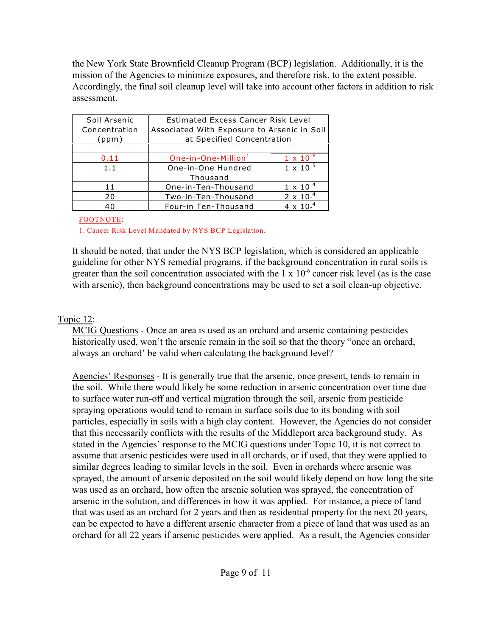the New York State Brownfield Cleanup Program (BCP) legislation. Additionally, it is the mission of the Agencies to minimize exposures, and therefore risk, to the extent possible. Accordingly, the final soil cleanup level will take into account other factors in addition to risk assessment.

| Soil Arsenic  | Estimated Excess Cancer Risk Level          |                    |
|---------------|---------------------------------------------|--------------------|
| Concentration | Associated With Exposure to Arsenic in Soil |                    |
| (ppm)         | at Specified Concentration                  |                    |
|               |                                             |                    |
| 0.11          | One-in-One-Million <sup>1</sup>             | $1 \times 10^{-6}$ |
| 1.1           | One-in-One Hundred                          | $1 \times 10^{-5}$ |
|               | Thousand                                    |                    |
| 11            | One-in-Ten-Thousand                         | $1 \times 10^{-4}$ |
| 20            | Two-in-Ten-Thousand                         | $2 \times 10^{-4}$ |
| 40            | Four-in Ten-Thousand                        | 4 x 10 $^{-4}$     |

#### FOOTNOTE:

1. Cancer Risk Level Mandated by NYS BCP Legislation.

It should be noted, that under the NYS BCP legislation, which is considered an applicable guideline for other NYS remedial programs, if the background concentration in rural soils is greater than the soil concentration associated with the  $1 \times 10^{-6}$  cancer risk level (as is the case with arsenic), then background concentrations may be used to set a soil clean-up objective.

#### Topic 12:

MCIG Questions - Once an area is used as an orchard and arsenic containing pesticides historically used, won't the arsenic remain in the soil so that the theory "once an orchard, always an orchard' be valid when calculating the background level?

Agencies' Responses - It is generally true that the arsenic, once present, tends to remain in the soil. While there would likely be some reduction in arsenic concentration over time due to surface water run-off and vertical migration through the soil, arsenic from pesticide spraying operations would tend to remain in surface soils due to its bonding with soil particles, especially in soils with a high clay content. However, the Agencies do not consider that this necessarily conflicts with the results of the Middleport area background study. As stated in the Agencies' response to the MCIG questions under Topic 10, it is not correct to assume that arsenic pesticides were used in all orchards, or if used, that they were applied to similar degrees leading to similar levels in the soil. Even in orchards where arsenic was sprayed, the amount of arsenic deposited on the soil would likely depend on how long the site was used as an orchard, how often the arsenic solution was sprayed, the concentration of arsenic in the solution, and differences in how it was applied. For instance, a piece of land that was used as an orchard for 2 years and then as residential property for the next 20 years, can be expected to have a different arsenic character from a piece of land that was used as an orchard for all 22 years if arsenic pesticides were applied. As a result, the Agencies consider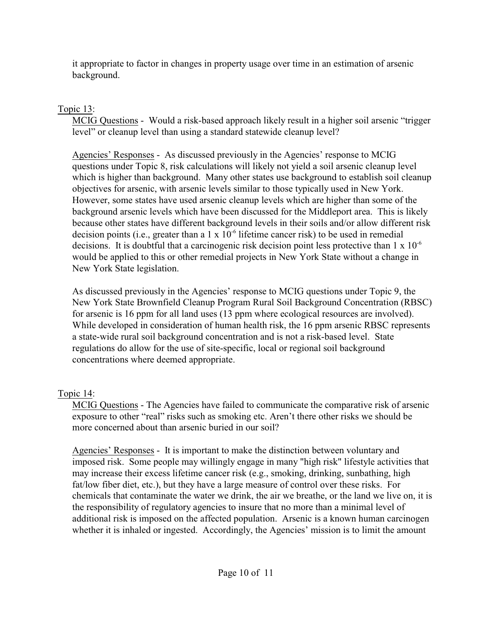it appropriate to factor in changes in property usage over time in an estimation of arsenic background.

## Topic 13:

MCIG Questions - Would a risk-based approach likely result in a higher soil arsenic "trigger level" or cleanup level than using a standard statewide cleanup level?

Agencies' Responses - As discussed previously in the Agencies' response to MCIG questions under Topic 8, risk calculations will likely not yield a soil arsenic cleanup level which is higher than background. Many other states use background to establish soil cleanup objectives for arsenic, with arsenic levels similar to those typically used in New York. However, some states have used arsenic cleanup levels which are higher than some of the background arsenic levels which have been discussed for the Middleport area. This is likely because other states have different background levels in their soils and/or allow different risk decision points (i.e., greater than a  $1 \times 10^{-6}$  lifetime cancer risk) to be used in remedial decisions. It is doubtful that a carcinogenic risk decision point less protective than  $1 \times 10^{-6}$ would be applied to this or other remedial projects in New York State without a change in New York State legislation.

As discussed previously in the Agencies' response to MCIG questions under Topic 9, the New York State Brownfield Cleanup Program Rural Soil Background Concentration (RBSC) for arsenic is 16 ppm for all land uses (13 ppm where ecological resources are involved). While developed in consideration of human health risk, the 16 ppm arsenic RBSC represents a state-wide rural soil background concentration and is not a risk-based level. State regulations do allow for the use of site-specific, local or regional soil background concentrations where deemed appropriate.

# Topic 14:

MCIG Questions - The Agencies have failed to communicate the comparative risk of arsenic exposure to other "real" risks such as smoking etc. Aren't there other risks we should be more concerned about than arsenic buried in our soil?

Agencies' Responses - It is important to make the distinction between voluntary and imposed risk. Some people may willingly engage in many "high risk" lifestyle activities that may increase their excess lifetime cancer risk (e.g., smoking, drinking, sunbathing, high fat/low fiber diet, etc.), but they have a large measure of control over these risks. For chemicals that contaminate the water we drink, the air we breathe, or the land we live on, it is the responsibility of regulatory agencies to insure that no more than a minimal level of additional risk is imposed on the affected population. Arsenic is a known human carcinogen whether it is inhaled or ingested. Accordingly, the Agencies' mission is to limit the amount